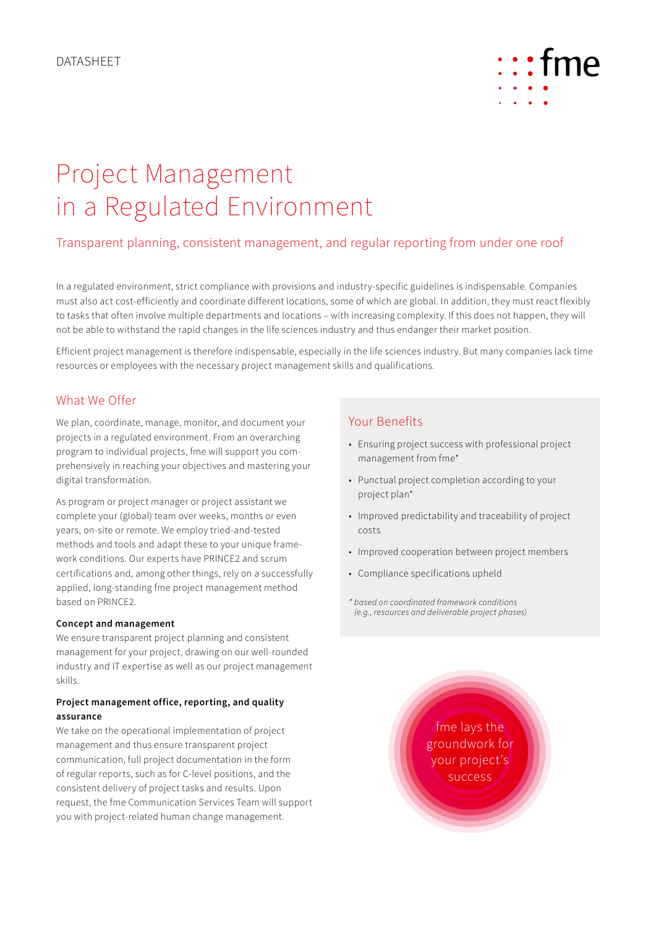

# Project Management in a Regulated Environment

# Transparent planning, consistent management, and regular reporting from under one roof

In a regulated environment, strict compliance with provisions and industry-specific guidelines is indispensable. Companies must also act cost-efficiently and coordinate different locations, some of which are global. In addition, they must react flexibly to tasks that often involve multiple departments and locations – with increasing complexity. If this does not happen, they will not be able to withstand the rapid changes in the life sciences industry and thus endanger their market position.

Efficient project management is therefore indispensable, especially in the life sciences industry. But many companies lack time resources or employees with the necessary project management skills and qualifications.

## What We Offer

We plan, coordinate, manage, monitor, and document your projects in a regulated environment. From an overarching program to individual projects, fme will support you comprehensively in reaching your objectives and mastering your digital transformation.

As program or project manager or project assistant we complete your (global) team over weeks, months or even years, on-site or remote. We employ tried-and-tested methods and tools and adapt these to your unique framework conditions. Our experts have PRINCE2 and scrum certifications and, among other things, rely on a successfully applied, long-standing fme project management method based on PRINCE2.

#### **Concept and management**

We ensure transparent project planning and consistent management for your project, drawing on our well-rounded industry and IT expertise as well as our project management skills.

### **Project management office, reporting, and quality assurance**

We take on the operational implementation of project management and thus ensure transparent project communication, full project documentation in the form of regular reports, such as for C-level positions, and the consistent delivery of project tasks and results. Upon request, the fme Communication Services Team will support you with project-related human change management.

## Your Benefits

- Ensuring project success with professional project management from fme\*
- Punctual project completion according to your project plan\*
- Improved predictability and traceability of project costs
- Improved cooperation between project members
- Compliance specifications upheld
- *\* based on coordinated framework conditions (e.g., resources and deliverable project phases)*